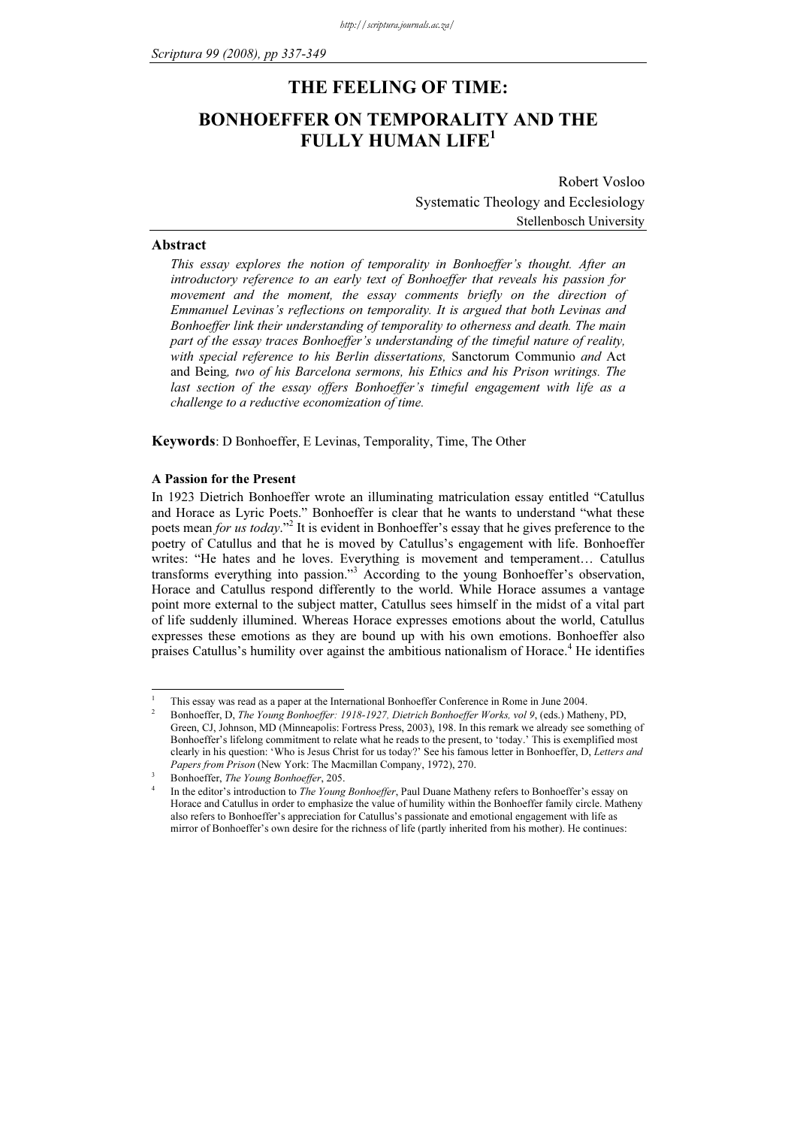# THE FEELING OF TIME: BONHOEFFER ON TEMPORALITY AND THE FULLY HUMAN LIFE<sup>1</sup>

Robert Vosloo Systematic Theology and Ecclesiology Stellenbosch University

### Abstract

This essay explores the notion of temporality in Bonhoeffer's thought. After an introductory reference to an early text of Bonhoeffer that reveals his passion for movement and the moment, the essay comments briefly on the direction of Emmanuel Levinas's reflections on temporality. It is argued that both Levinas and Bonhoeffer link their understanding of temporality to otherness and death. The main part of the essay traces Bonhoeffer's understanding of the timeful nature of reality, with special reference to his Berlin dissertations, Sanctorum Communio and Act and Being, two of his Barcelona sermons, his Ethics and his Prison writings. The last section of the essay offers Bonhoeffer's timeful engagement with life as a challenge to a reductive economization of time.

Keywords: D Bonhoeffer, E Levinas, Temporality, Time, The Other

#### A Passion for the Present

In 1923 Dietrich Bonhoeffer wrote an illuminating matriculation essay entitled "Catullus and Horace as Lyric Poets." Bonhoeffer is clear that he wants to understand "what these poets mean for us today."<sup>2</sup> It is evident in Bonhoeffer's essay that he gives preference to the poetry of Catullus and that he is moved by Catullus's engagement with life. Bonhoeffer writes: "He hates and he loves. Everything is movement and temperament… Catullus transforms everything into passion."<sup>3</sup> According to the young Bonhoeffer's observation, Horace and Catullus respond differently to the world. While Horace assumes a vantage point more external to the subject matter, Catullus sees himself in the midst of a vital part of life suddenly illumined. Whereas Horace expresses emotions about the world, Catullus expresses these emotions as they are bound up with his own emotions. Bonhoeffer also praises Catullus's humility over against the ambitious nationalism of Horace.<sup>4</sup> He identifies

<sup>-</sup>1 This essay was read as a paper at the International Bonhoeffer Conference in Rome in June 2004.

<sup>2</sup> Bonhoeffer, D, The Young Bonhoeffer: 1918-1927, Dietrich Bonhoeffer Works, vol 9, (eds.) Matheny, PD, Green, CJ, Johnson, MD (Minneapolis: Fortress Press, 2003), 198. In this remark we already see something of Bonhoeffer's lifelong commitment to relate what he reads to the present, to 'today.' This is exemplified most clearly in his question: 'Who is Jesus Christ for us today?' See his famous letter in Bonhoeffer, D, Letters and Papers from Prison (New York: The Macmillan Company, 1972), 270.

Bonhoeffer, The Young Bonhoeffer, 205. 4

In the editor's introduction to *The Young Bonhoeffer*, Paul Duane Matheny refers to Bonhoeffer's essay on Horace and Catullus in order to emphasize the value of humility within the Bonhoeffer family circle. Matheny also refers to Bonhoeffer's appreciation for Catullus's passionate and emotional engagement with life as mirror of Bonhoeffer's own desire for the richness of life (partly inherited from his mother). He continues: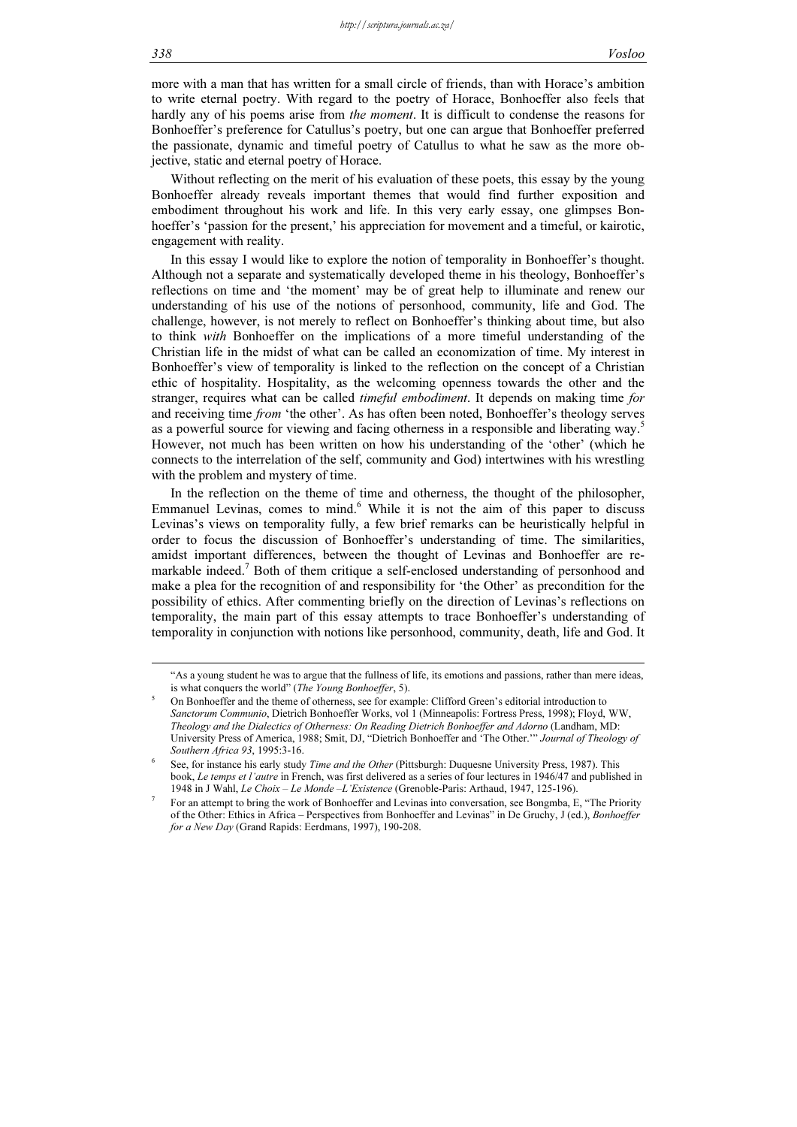-

more with a man that has written for a small circle of friends, than with Horace's ambition to write eternal poetry. With regard to the poetry of Horace, Bonhoeffer also feels that hardly any of his poems arise from *the moment*. It is difficult to condense the reasons for Bonhoeffer's preference for Catullus's poetry, but one can argue that Bonhoeffer preferred the passionate, dynamic and timeful poetry of Catullus to what he saw as the more objective, static and eternal poetry of Horace.

Without reflecting on the merit of his evaluation of these poets, this essay by the young Bonhoeffer already reveals important themes that would find further exposition and embodiment throughout his work and life. In this very early essay, one glimpses Bonhoeffer's 'passion for the present,' his appreciation for movement and a timeful, or kairotic, engagement with reality.

In this essay I would like to explore the notion of temporality in Bonhoeffer's thought. Although not a separate and systematically developed theme in his theology, Bonhoeffer's reflections on time and 'the moment' may be of great help to illuminate and renew our understanding of his use of the notions of personhood, community, life and God. The challenge, however, is not merely to reflect on Bonhoeffer's thinking about time, but also to think with Bonhoeffer on the implications of a more timeful understanding of the Christian life in the midst of what can be called an economization of time. My interest in Bonhoeffer's view of temporality is linked to the reflection on the concept of a Christian ethic of hospitality. Hospitality, as the welcoming openness towards the other and the stranger, requires what can be called *timeful embodiment*. It depends on making time *for* and receiving time from 'the other'. As has often been noted, Bonhoeffer's theology serves as a powerful source for viewing and facing otherness in a responsible and liberating way.<sup>5</sup> However, not much has been written on how his understanding of the 'other' (which he connects to the interrelation of the self, community and God) intertwines with his wrestling with the problem and mystery of time.

In the reflection on the theme of time and otherness, the thought of the philosopher, Emmanuel Levinas, comes to mind.<sup>6</sup> While it is not the aim of this paper to discuss Levinas's views on temporality fully, a few brief remarks can be heuristically helpful in order to focus the discussion of Bonhoeffer's understanding of time. The similarities, amidst important differences, between the thought of Levinas and Bonhoeffer are remarkable indeed.<sup>7</sup> Both of them critique a self-enclosed understanding of personhood and make a plea for the recognition of and responsibility for 'the Other' as precondition for the possibility of ethics. After commenting briefly on the direction of Levinas's reflections on temporality, the main part of this essay attempts to trace Bonhoeffer's understanding of temporality in conjunction with notions like personhood, community, death, life and God. It

<sup>&</sup>quot;As a young student he was to argue that the fullness of life, its emotions and passions, rather than mere ideas, is what conquers the world" (The Young Bonhoeffer, 5).

<sup>5</sup> On Bonhoeffer and the theme of otherness, see for example: Clifford Green's editorial introduction to Sanctorum Communio, Dietrich Bonhoeffer Works, vol 1 (Minneapolis: Fortress Press, 1998); Floyd, WW, Theology and the Dialectics of Otherness: On Reading Dietrich Bonhoeffer and Adorno (Landham, MD: University Press of America, 1988; Smit, DJ, "Dietrich Bonhoeffer and 'The Other.'" Journal of Theology of Southern Africa 93, 1995:3-16.

<sup>6</sup> See, for instance his early study Time and the Other (Pittsburgh: Duquesne University Press, 1987). This book, Le temps et l'autre in French, was first delivered as a series of four lectures in 1946/47 and published in 1948 in J Wahl, Le Choix – Le Monde –L'Existence (Grenoble-Paris: Arthaud, 1947, 125-196).

<sup>7</sup> For an attempt to bring the work of Bonhoeffer and Levinas into conversation, see Bongmba, E, "The Priority of the Other: Ethics in Africa – Perspectives from Bonhoeffer and Levinas" in De Gruchy, J (ed.), Bonhoeffer for a New Day (Grand Rapids: Eerdmans, 1997), 190-208.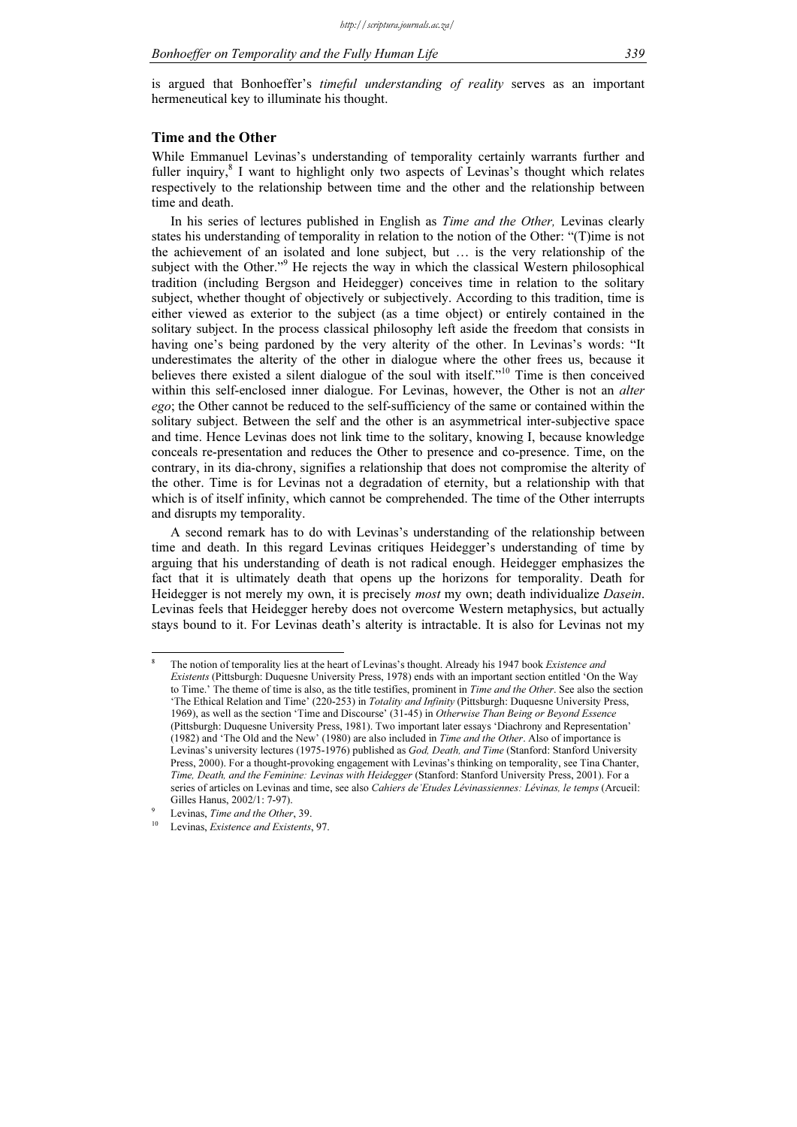is argued that Bonhoeffer's timeful understanding of reality serves as an important hermeneutical key to illuminate his thought.

#### Time and the Other

While Emmanuel Levinas's understanding of temporality certainly warrants further and fuller inquiry,<sup>8</sup> I want to highlight only two aspects of Levinas's thought which relates respectively to the relationship between time and the other and the relationship between time and death.

In his series of lectures published in English as *Time and the Other*, Levinas clearly states his understanding of temporality in relation to the notion of the Other: "(T)ime is not the achievement of an isolated and lone subject, but … is the very relationship of the subject with the Other."<sup>9</sup> He rejects the way in which the classical Western philosophical tradition (including Bergson and Heidegger) conceives time in relation to the solitary subject, whether thought of objectively or subjectively. According to this tradition, time is either viewed as exterior to the subject (as a time object) or entirely contained in the solitary subject. In the process classical philosophy left aside the freedom that consists in having one's being pardoned by the very alterity of the other. In Levinas's words: "It underestimates the alterity of the other in dialogue where the other frees us, because it believes there existed a silent dialogue of the soul with itself."<sup>10</sup> Time is then conceived within this self-enclosed inner dialogue. For Levinas, however, the Other is not an *alter* ego; the Other cannot be reduced to the self-sufficiency of the same or contained within the solitary subject. Between the self and the other is an asymmetrical inter-subjective space and time. Hence Levinas does not link time to the solitary, knowing I, because knowledge conceals re-presentation and reduces the Other to presence and co-presence. Time, on the contrary, in its dia-chrony, signifies a relationship that does not compromise the alterity of the other. Time is for Levinas not a degradation of eternity, but a relationship with that which is of itself infinity, which cannot be comprehended. The time of the Other interrupts and disrupts my temporality.

A second remark has to do with Levinas's understanding of the relationship between time and death. In this regard Levinas critiques Heidegger's understanding of time by arguing that his understanding of death is not radical enough. Heidegger emphasizes the fact that it is ultimately death that opens up the horizons for temporality. Death for Heidegger is not merely my own, it is precisely *most* my own; death individualize *Dasein*. Levinas feels that Heidegger hereby does not overcome Western metaphysics, but actually stays bound to it. For Levinas death's alterity is intractable. It is also for Levinas not my

<sup>8</sup> The notion of temporality lies at the heart of Levinas's thought. Already his 1947 book Existence and Existents (Pittsburgh: Duquesne University Press, 1978) ends with an important section entitled 'On the Way to Time.' The theme of time is also, as the title testifies, prominent in Time and the Other. See also the section 'The Ethical Relation and Time' (220-253) in Totality and Infinity (Pittsburgh: Duquesne University Press, 1969), as well as the section 'Time and Discourse' (31-45) in Otherwise Than Being or Beyond Essence (Pittsburgh: Duquesne University Press, 1981). Two important later essays 'Diachrony and Representation' (1982) and 'The Old and the New' (1980) are also included in Time and the Other. Also of importance is Levinas's university lectures (1975-1976) published as God, Death, and Time (Stanford: Stanford University Press, 2000). For a thought-provoking engagement with Levinas's thinking on temporality, see Tina Chanter, Time, Death, and the Feminine: Levinas with Heidegger (Stanford: Stanford University Press, 2001). For a series of articles on Levinas and time, see also Cahiers de'Etudes Lévinassiennes: Lévinas, le temps (Arcueil: Gilles Hanus, 2002/1: 7-97).

<sup>9</sup>

Levinas, Time and the Other, 39.<br>Levinas, Existence and Existents, 97.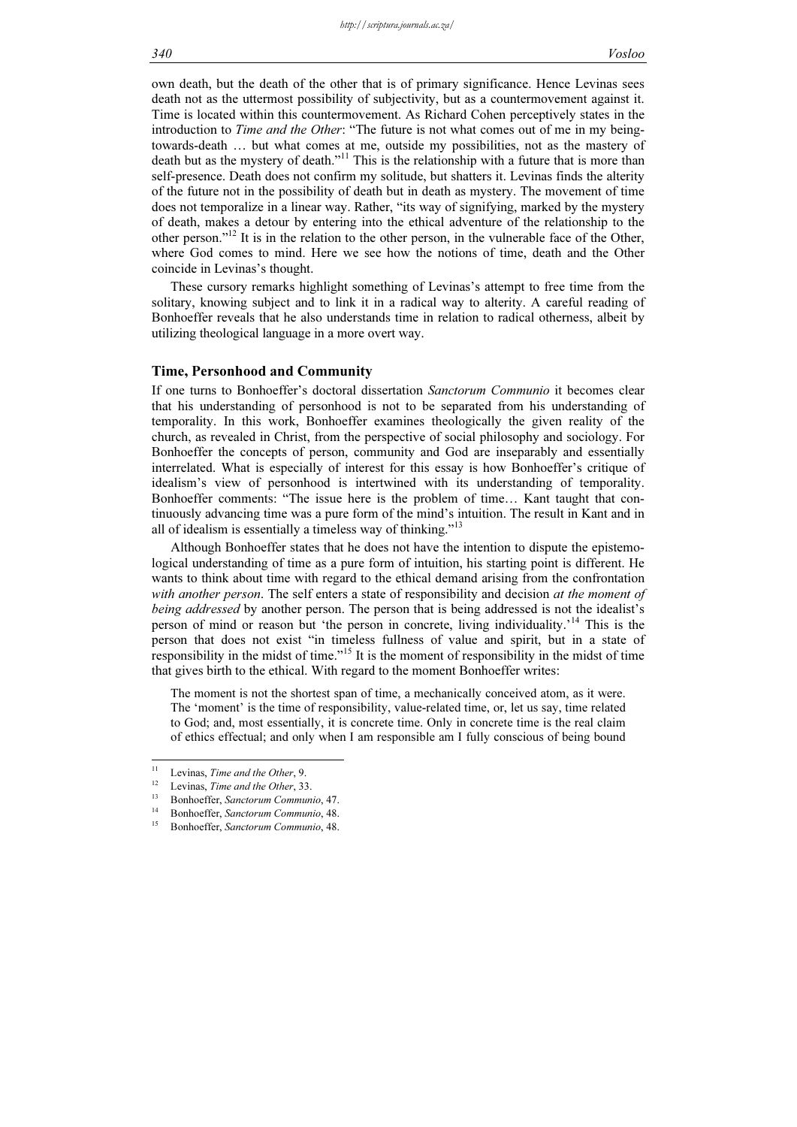own death, but the death of the other that is of primary significance. Hence Levinas sees death not as the uttermost possibility of subjectivity, but as a countermovement against it. Time is located within this countermovement. As Richard Cohen perceptively states in the introduction to Time and the Other: "The future is not what comes out of me in my beingtowards-death … but what comes at me, outside my possibilities, not as the mastery of death but as the mystery of death."<sup>11</sup> This is the relationship with a future that is more than self-presence. Death does not confirm my solitude, but shatters it. Levinas finds the alterity of the future not in the possibility of death but in death as mystery. The movement of time does not temporalize in a linear way. Rather, "its way of signifying, marked by the mystery of death, makes a detour by entering into the ethical adventure of the relationship to the other person."<sup>12</sup> It is in the relation to the other person, in the vulnerable face of the Other, where God comes to mind. Here we see how the notions of time, death and the Other coincide in Levinas's thought.

These cursory remarks highlight something of Levinas's attempt to free time from the solitary, knowing subject and to link it in a radical way to alterity. A careful reading of Bonhoeffer reveals that he also understands time in relation to radical otherness, albeit by utilizing theological language in a more overt way.

## Time, Personhood and Community

If one turns to Bonhoeffer's doctoral dissertation Sanctorum Communio it becomes clear that his understanding of personhood is not to be separated from his understanding of temporality. In this work, Bonhoeffer examines theologically the given reality of the church, as revealed in Christ, from the perspective of social philosophy and sociology. For Bonhoeffer the concepts of person, community and God are inseparably and essentially interrelated. What is especially of interest for this essay is how Bonhoeffer's critique of idealism's view of personhood is intertwined with its understanding of temporality. Bonhoeffer comments: "The issue here is the problem of time… Kant taught that continuously advancing time was a pure form of the mind's intuition. The result in Kant and in all of idealism is essentially a timeless way of thinking." $13$ 

Although Bonhoeffer states that he does not have the intention to dispute the epistemological understanding of time as a pure form of intuition, his starting point is different. He wants to think about time with regard to the ethical demand arising from the confrontation with another person. The self enters a state of responsibility and decision at the moment of being addressed by another person. The person that is being addressed is not the idealist's person of mind or reason but 'the person in concrete, living individuality.'<sup>14</sup> This is the person that does not exist "in timeless fullness of value and spirit, but in a state of responsibility in the midst of time."<sup>15</sup> It is the moment of responsibility in the midst of time that gives birth to the ethical. With regard to the moment Bonhoeffer writes:

The moment is not the shortest span of time, a mechanically conceived atom, as it were. The 'moment' is the time of responsibility, value-related time, or, let us say, time related to God; and, most essentially, it is concrete time. Only in concrete time is the real claim of ethics effectual; and only when I am responsible am I fully conscious of being bound

 $11$ 

<sup>&</sup>lt;sup>11</sup> Levinas, *Time and the Other*, 9.<br><sup>12</sup> Levinas, *Time and the Other*, 33.<br><sup>13</sup> Bonhoeffer, *Sanctorum Communio*, 48.<br><sup>15</sup> Bonhoeffer, *Sanctorum Communio*, 48.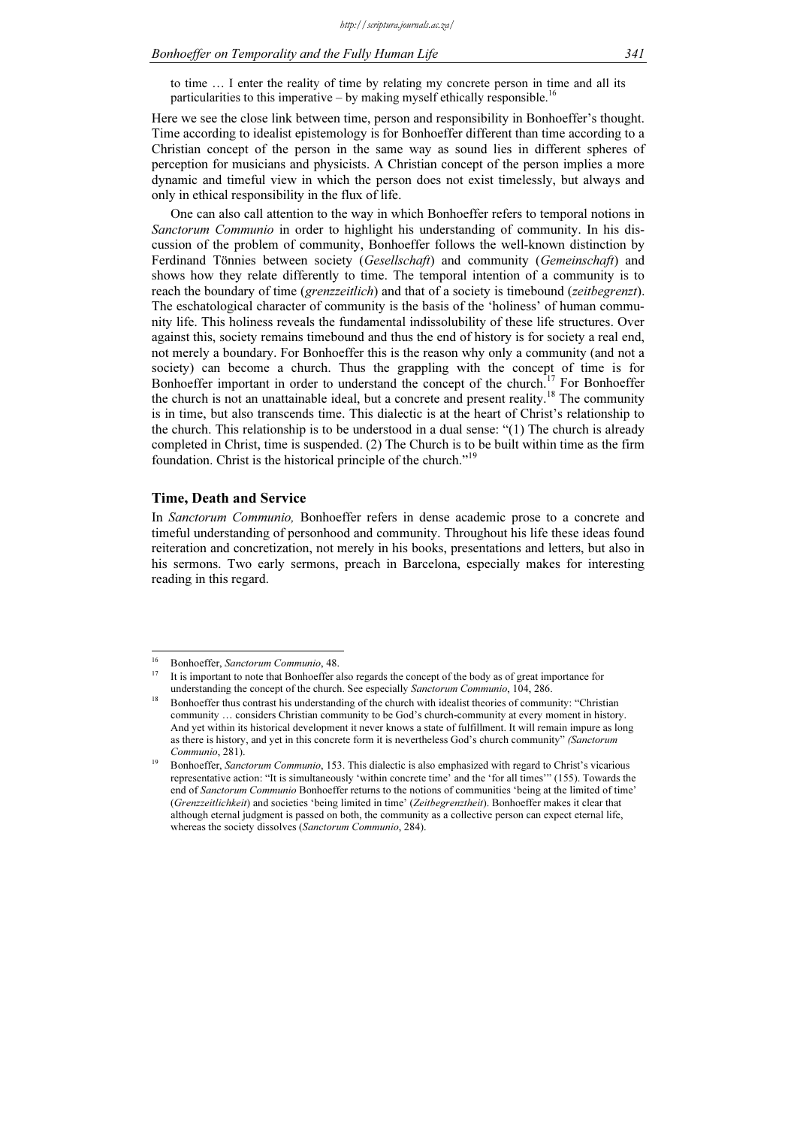#### Bonhoeffer on Temporality and the Fully Human Life 341

to time … I enter the reality of time by relating my concrete person in time and all its particularities to this imperative – by making myself ethically responsible.<sup>16</sup>

Here we see the close link between time, person and responsibility in Bonhoeffer's thought. Time according to idealist epistemology is for Bonhoeffer different than time according to a Christian concept of the person in the same way as sound lies in different spheres of perception for musicians and physicists. A Christian concept of the person implies a more dynamic and timeful view in which the person does not exist timelessly, but always and only in ethical responsibility in the flux of life.

One can also call attention to the way in which Bonhoeffer refers to temporal notions in Sanctorum Communio in order to highlight his understanding of community. In his discussion of the problem of community, Bonhoeffer follows the well-known distinction by Ferdinand Tönnies between society (Gesellschaft) and community (Gemeinschaft) and shows how they relate differently to time. The temporal intention of a community is to reach the boundary of time (*grenzzeitlich*) and that of a society is timebound (*zeitbegrenzt*). The eschatological character of community is the basis of the 'holiness' of human community life. This holiness reveals the fundamental indissolubility of these life structures. Over against this, society remains timebound and thus the end of history is for society a real end, not merely a boundary. For Bonhoeffer this is the reason why only a community (and not a society) can become a church. Thus the grappling with the concept of time is for Bonhoeffer important in order to understand the concept of the church.<sup>17</sup> For Bonhoeffer Bonhoeffer important in order to understand the concept of the church.<sup>1</sup> the church is not an unattainable ideal, but a concrete and present reality.<sup>18</sup> The community is in time, but also transcends time. This dialectic is at the heart of Christ's relationship to the church. This relationship is to be understood in a dual sense: "(1) The church is already completed in Christ, time is suspended. (2) The Church is to be built within time as the firm foundation. Christ is the historical principle of the church."<sup>19</sup>

#### Time, Death and Service

In Sanctorum Communio, Bonhoeffer refers in dense academic prose to a concrete and timeful understanding of personhood and community. Throughout his life these ideas found reiteration and concretization, not merely in his books, presentations and letters, but also in his sermons. Two early sermons, preach in Barcelona, especially makes for interesting reading in this regard.

<sup>&</sup>lt;sup>16</sup> Bonhoeffer, Sanctorum Communio, 48.

<sup>17</sup> It is important to note that Bonhoeffer also regards the concept of the body as of great importance for understanding the concept of the church. See especially Sanctorum Communio, 104, 286.

<sup>18</sup> Bonhoeffer thus contrast his understanding of the church with idealist theories of community: "Christian community … considers Christian community to be God's church-community at every moment in history. And yet within its historical development it never knows a state of fulfillment. It will remain impure as long as there is history, and yet in this concrete form it is nevertheless God's church community" (Sanctorum Communio, 281).

<sup>19</sup> Bonhoeffer, Sanctorum Communio, 153. This dialectic is also emphasized with regard to Christ's vicarious representative action: "It is simultaneously 'within concrete time' and the 'for all times'" (155). Towards the end of Sanctorum Communio Bonhoeffer returns to the notions of communities 'being at the limited of time' (Grenzzeitlichkeit) and societies 'being limited in time' (Zeitbegrenztheit). Bonhoeffer makes it clear that although eternal judgment is passed on both, the community as a collective person can expect eternal life, whereas the society dissolves (Sanctorum Communio, 284).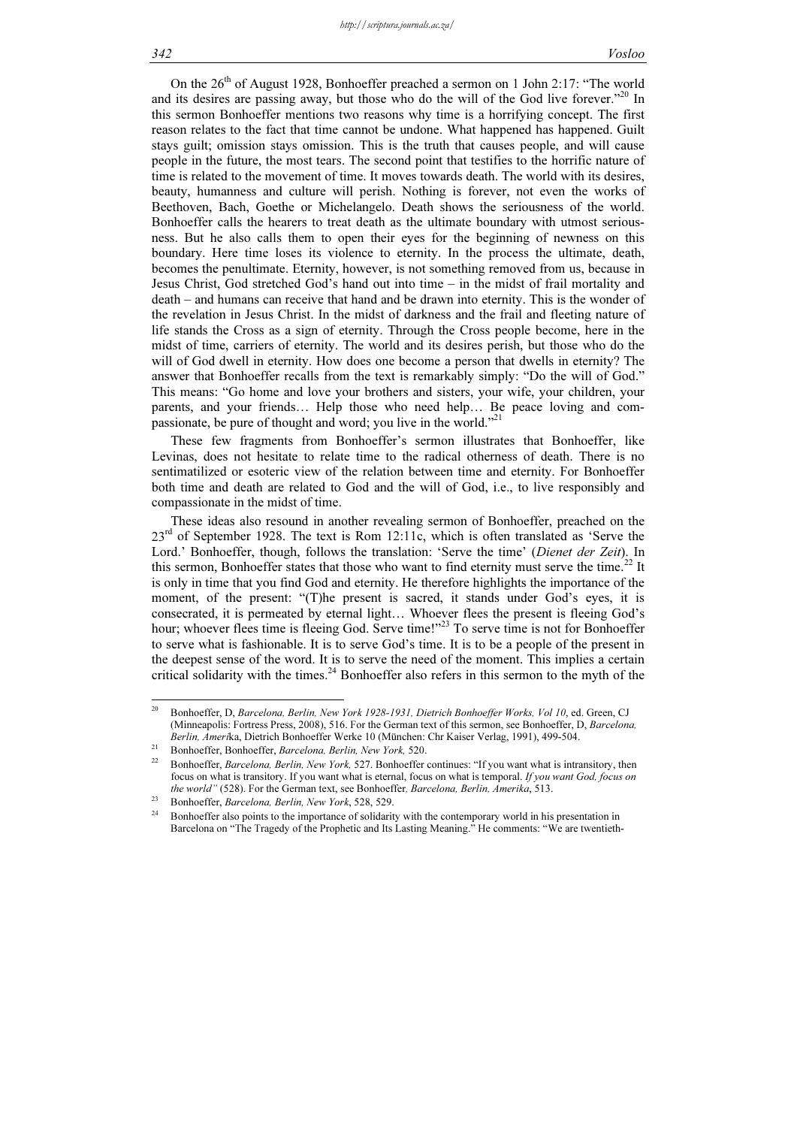On the  $26<sup>th</sup>$  of August 1928, Bonhoeffer preached a sermon on 1 John 2:17: "The world and its desires are passing away, but those who do the will of the God live forever."<sup>20</sup> In this sermon Bonhoeffer mentions two reasons why time is a horrifying concept. The first reason relates to the fact that time cannot be undone. What happened has happened. Guilt stays guilt; omission stays omission. This is the truth that causes people, and will cause people in the future, the most tears. The second point that testifies to the horrific nature of time is related to the movement of time. It moves towards death. The world with its desires, beauty, humanness and culture will perish. Nothing is forever, not even the works of Beethoven, Bach, Goethe or Michelangelo. Death shows the seriousness of the world. Bonhoeffer calls the hearers to treat death as the ultimate boundary with utmost seriousness. But he also calls them to open their eyes for the beginning of newness on this boundary. Here time loses its violence to eternity. In the process the ultimate, death, becomes the penultimate. Eternity, however, is not something removed from us, because in Jesus Christ, God stretched God's hand out into time – in the midst of frail mortality and death – and humans can receive that hand and be drawn into eternity. This is the wonder of the revelation in Jesus Christ. In the midst of darkness and the frail and fleeting nature of life stands the Cross as a sign of eternity. Through the Cross people become, here in the midst of time, carriers of eternity. The world and its desires perish, but those who do the will of God dwell in eternity. How does one become a person that dwells in eternity? The answer that Bonhoeffer recalls from the text is remarkably simply: "Do the will of God." This means: "Go home and love your brothers and sisters, your wife, your children, your parents, and your friends… Help those who need help… Be peace loving and compassionate, be pure of thought and word; you live in the world."<sup>2</sup>

These few fragments from Bonhoeffer's sermon illustrates that Bonhoeffer, like Levinas, does not hesitate to relate time to the radical otherness of death. There is no sentimatilized or esoteric view of the relation between time and eternity. For Bonhoeffer both time and death are related to God and the will of God, i.e., to live responsibly and compassionate in the midst of time.

These ideas also resound in another revealing sermon of Bonhoeffer, preached on the 23<sup>rd</sup> of September 1928. The text is Rom 12:11c, which is often translated as 'Serve the Lord.' Bonhoeffer, though, follows the translation: 'Serve the time' (Dienet der Zeit). In this sermon, Bonhoeffer states that those who want to find eternity must serve the time.<sup>22</sup> It is only in time that you find God and eternity. He therefore highlights the importance of the moment, of the present: "(T)he present is sacred, it stands under God's eyes, it is consecrated, it is permeated by eternal light… Whoever flees the present is fleeing God's hour; whoever flees time is fleeing God. Serve time!"<sup>23</sup> To serve time is not for Bonhoeffer to serve what is fashionable. It is to serve God's time. It is to be a people of the present in the deepest sense of the word. It is to serve the need of the moment. This implies a certain critical solidarity with the times.<sup>24</sup> Bonhoeffer also refers in this sermon to the myth of the

 $20$ <sup>20</sup> Bonhoeffer, D, Barcelona, Berlin, New York 1928-1931, Dietrich Bonhoeffer Works, Vol 10, ed. Green, CJ (Minneapolis: Fortress Press, 2008), 516. For the German text of this sermon, see Bonhoeffer, D, Barcelona, Berlin, Amerika, Dietrich Bonhoeffer Werke 10 (München: Chr Kaiser Verlag, 1991), 499-504.<br><sup>21</sup> Bonhoeffer, Bonhoeffer, Barcelona, Berlin, New York, 520.

Bonhoeffer, Barcelona, Berlin, New York, 527. Bonhoeffer continues: "If you want what is intransitory, then focus on what is transitory. If you want what is eternal, focus on what is temporal. If you want God, focus on the world" (528). For the German text, see Bonhoeffer, Barcelona, Berlin, Amerika, 513.<br>
<sup>23</sup> Bonhoeffer, Barcelona, Berlin, New York, 528, 529.<br>
<sup>24</sup> Bonhoeffer also noints to the importance of solidarity with the contemp

Bonhoeffer also points to the importance of solidarity with the contemporary world in his presentation in Barcelona on "The Tragedy of the Prophetic and Its Lasting Meaning." He comments: "We are twentieth-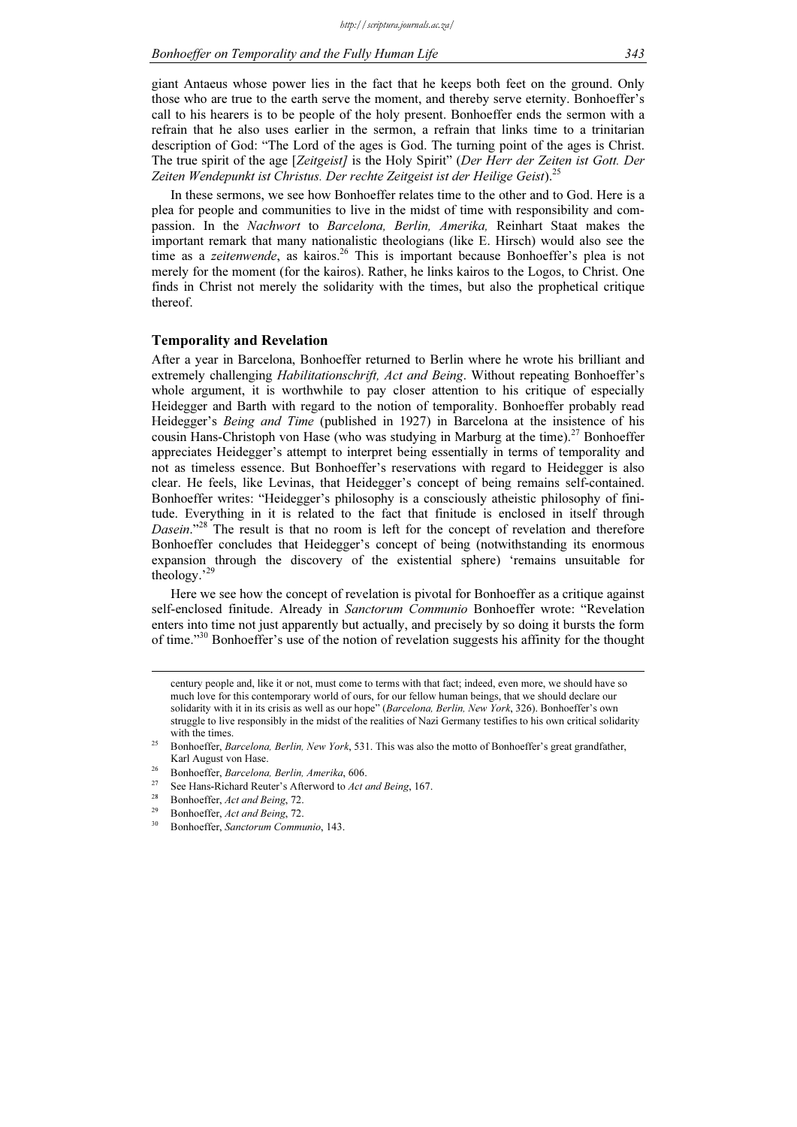giant Antaeus whose power lies in the fact that he keeps both feet on the ground. Only those who are true to the earth serve the moment, and thereby serve eternity. Bonhoeffer's call to his hearers is to be people of the holy present. Bonhoeffer ends the sermon with a refrain that he also uses earlier in the sermon, a refrain that links time to a trinitarian description of God: "The Lord of the ages is God. The turning point of the ages is Christ. The true spirit of the age [Zeitgeist] is the Holy Spirit" (Der Herr der Zeiten ist Gott. Der Zeiten Wendepunkt ist Christus. Der rechte Zeitgeist ist der Heilige Geist).<sup>2</sup>

In these sermons, we see how Bonhoeffer relates time to the other and to God. Here is a plea for people and communities to live in the midst of time with responsibility and compassion. In the Nachwort to Barcelona, Berlin, Amerika, Reinhart Staat makes the important remark that many nationalistic theologians (like E. Hirsch) would also see the time as a zeitenwende, as kairos.<sup>26</sup> This is important because Bonhoeffer's plea is not merely for the moment (for the kairos). Rather, he links kairos to the Logos, to Christ. One finds in Christ not merely the solidarity with the times, but also the prophetical critique thereof.

#### Temporality and Revelation

After a year in Barcelona, Bonhoeffer returned to Berlin where he wrote his brilliant and extremely challenging *Habilitationschrift, Act and Being*. Without repeating Bonhoeffer's whole argument, it is worthwhile to pay closer attention to his critique of especially Heidegger and Barth with regard to the notion of temporality. Bonhoeffer probably read Heidegger's Being and Time (published in 1927) in Barcelona at the insistence of his cousin Hans-Christoph von Hase (who was studying in Marburg at the time).<sup>27</sup> Bonhoeffer appreciates Heidegger's attempt to interpret being essentially in terms of temporality and not as timeless essence. But Bonhoeffer's reservations with regard to Heidegger is also clear. He feels, like Levinas, that Heidegger's concept of being remains self-contained. Bonhoeffer writes: "Heidegger's philosophy is a consciously atheistic philosophy of finitude. Everything in it is related to the fact that finitude is enclosed in itself through Dasein."<sup>28</sup> The result is that no room is left for the concept of revelation and therefore Bonhoeffer concludes that Heidegger's concept of being (notwithstanding its enormous expansion through the discovery of the existential sphere) 'remains unsuitable for theology.'<sup>29</sup>

Here we see how the concept of revelation is pivotal for Bonhoeffer as a critique against self-enclosed finitude. Already in Sanctorum Communio Bonhoeffer wrote: "Revelation enters into time not just apparently but actually, and precisely by so doing it bursts the form of time."<sup>30</sup> Bonhoeffer's use of the notion of revelation suggests his affinity for the thought

century people and, like it or not, must come to terms with that fact; indeed, even more, we should have so much love for this contemporary world of ours, for our fellow human beings, that we should declare our solidarity with it in its crisis as well as our hope" (Barcelona, Berlin, New York, 326). Bonhoeffer's own struggle to live responsibly in the midst of the realities of Nazi Germany testifies to his own critical solidarity with the times.

<sup>25</sup> Bonhoeffer, Barcelona, Berlin, New York, 531. This was also the motto of Bonhoeffer's great grandfather,

Karl August von Hase.<br>
<sup>26</sup> Bonhoeffer, *Barcelona, Berlin, Amerika*, 606.<br>
<sup>27</sup> See Hans-Richard Reuter's Afterword to *Act and Being*, 167.<br>
<sup>28</sup> Bonhoeffer, *Act and Being*, 72.<br>
<sup>29</sup> Bonhoeffer, *Act and Being*, 72.<br>
<sup></sup>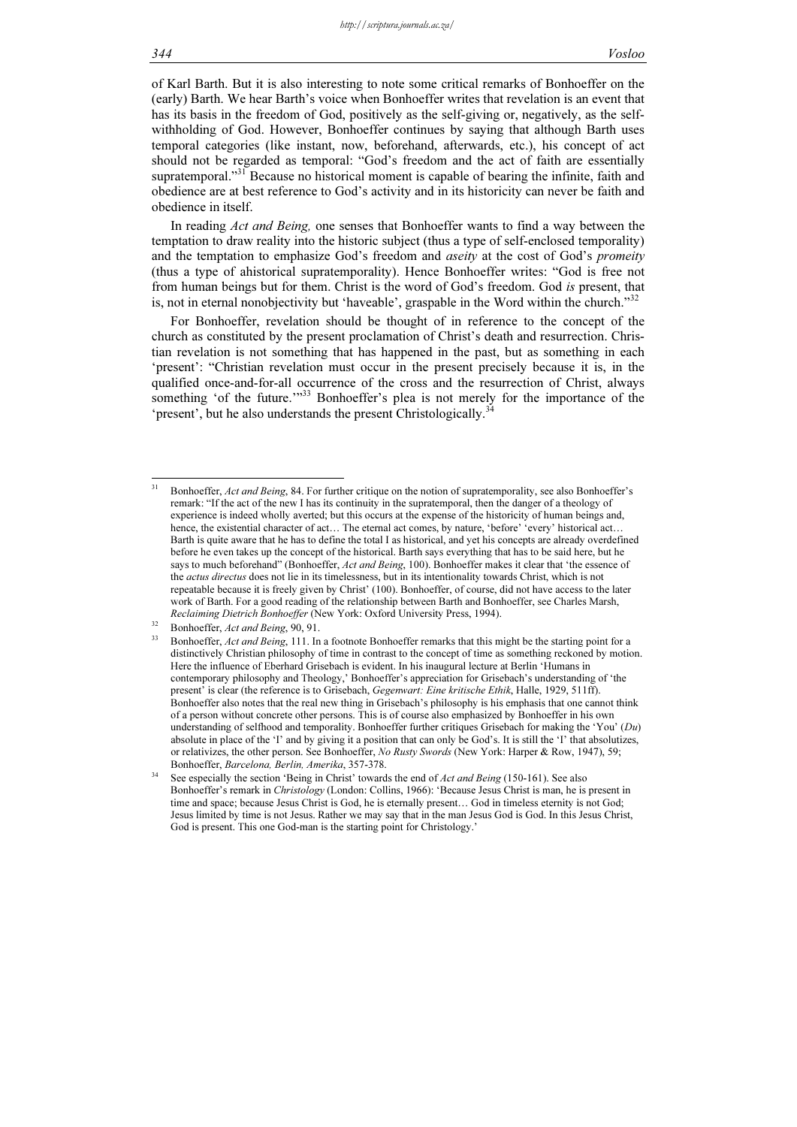of Karl Barth. But it is also interesting to note some critical remarks of Bonhoeffer on the (early) Barth. We hear Barth's voice when Bonhoeffer writes that revelation is an event that has its basis in the freedom of God, positively as the self-giving or, negatively, as the selfwithholding of God. However, Bonhoeffer continues by saying that although Barth uses temporal categories (like instant, now, beforehand, afterwards, etc.), his concept of act should not be regarded as temporal: "God's freedom and the act of faith are essentially supratemporal."<sup>31</sup> Because no historical moment is capable of bearing the infinite, faith and obedience are at best reference to God's activity and in its historicity can never be faith and obedience in itself.

In reading Act and Being, one senses that Bonhoeffer wants to find a way between the temptation to draw reality into the historic subject (thus a type of self-enclosed temporality) and the temptation to emphasize God's freedom and *aseity* at the cost of God's *promeity* (thus a type of ahistorical supratemporality). Hence Bonhoeffer writes: "God is free not from human beings but for them. Christ is the word of God's freedom. God is present, that is, not in eternal nonobjectivity but 'haveable', graspable in the Word within the church. $^{332}$ 

For Bonhoeffer, revelation should be thought of in reference to the concept of the church as constituted by the present proclamation of Christ's death and resurrection. Christian revelation is not something that has happened in the past, but as something in each 'present': "Christian revelation must occur in the present precisely because it is, in the qualified once-and-for-all occurrence of the cross and the resurrection of Christ, always something 'of the future.'"<sup>33</sup> Bonhoeffer's plea is not merely for the importance of the 'present', but he also understands the present Christologically.<sup>34</sup>

Bonhoeffer, Act and Being, 84. For further critique on the notion of supratemporality, see also Bonhoeffer's remark: "If the act of the new I has its continuity in the supratemporal, then the danger of a theology of experience is indeed wholly averted; but this occurs at the expense of the historicity of human beings and, hence, the existential character of act... The eternal act comes, by nature, 'before' 'every' historical act... Barth is quite aware that he has to define the total I as historical, and yet his concepts are already overdefined before he even takes up the concept of the historical. Barth says everything that has to be said here, but he says to much beforehand" (Bonhoeffer, Act and Being, 100). Bonhoeffer makes it clear that 'the essence of the actus directus does not lie in its timelessness, but in its intentionality towards Christ, which is not repeatable because it is freely given by Christ' (100). Bonhoeffer, of course, did not have access to the later work of Barth. For a good reading of the relationship between Barth and Bonhoeffer, see Charles Marsh, Reclaiming Dietrich Bonhoeffer (New York: Oxford University Press, 1994).

 $32$  Bonhoeffer, *Act and Being*, 90, 91.

Bonhoeffer, Act and Being, 111. In a footnote Bonhoeffer remarks that this might be the starting point for a distinctively Christian philosophy of time in contrast to the concept of time as something reckoned by motion. Here the influence of Eberhard Grisebach is evident. In his inaugural lecture at Berlin 'Humans in contemporary philosophy and Theology,' Bonhoeffer's appreciation for Grisebach's understanding of 'the present' is clear (the reference is to Grisebach, Gegenwart: Eine kritische Ethik, Halle, 1929, 511ff). Bonhoeffer also notes that the real new thing in Grisebach's philosophy is his emphasis that one cannot think of a person without concrete other persons. This is of course also emphasized by Bonhoeffer in his own understanding of selfhood and temporality. Bonhoeffer further critiques Grisebach for making the 'You'  $(Du)$ absolute in place of the 'I' and by giving it a position that can only be God's. It is still the 'I' that absolutizes, or relativizes, the other person. See Bonhoeffer, No Rusty Swords (New York: Harper & Row, 1947), 59; Bonhoeffer, Barcelona, Berlin, Amerika, 357-378.

See especially the section 'Being in Christ' towards the end of Act and Being (150-161). See also Bonhoeffer's remark in Christology (London: Collins, 1966): 'Because Jesus Christ is man, he is present in time and space; because Jesus Christ is God, he is eternally present… God in timeless eternity is not God; Jesus limited by time is not Jesus. Rather we may say that in the man Jesus God is God. In this Jesus Christ, God is present. This one God-man is the starting point for Christology.'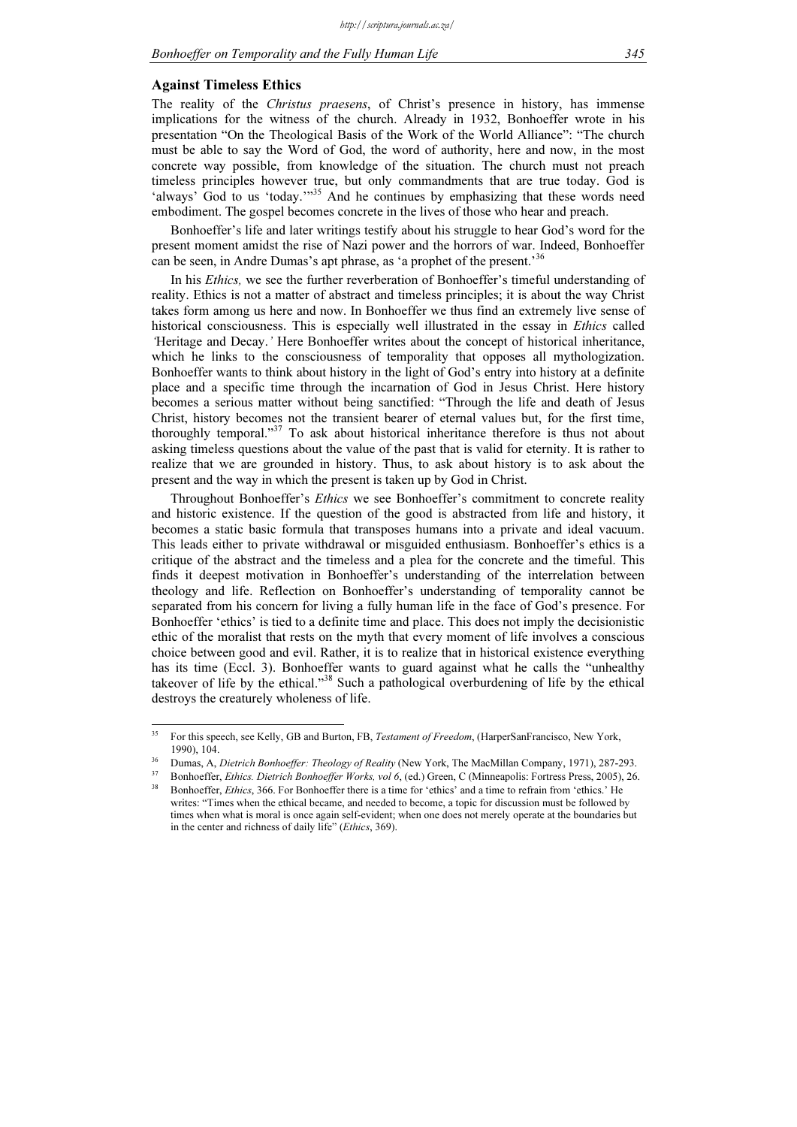#### Against Timeless Ethics

The reality of the Christus praesens, of Christ's presence in history, has immense implications for the witness of the church. Already in 1932, Bonhoeffer wrote in his presentation "On the Theological Basis of the Work of the World Alliance": "The church must be able to say the Word of God, the word of authority, here and now, in the most concrete way possible, from knowledge of the situation. The church must not preach timeless principles however true, but only commandments that are true today. God is 'always' God to us 'today."<sup>35</sup> And he continues by emphasizing that these words need embodiment. The gospel becomes concrete in the lives of those who hear and preach.

Bonhoeffer's life and later writings testify about his struggle to hear God's word for the present moment amidst the rise of Nazi power and the horrors of war. Indeed, Bonhoeffer can be seen, in Andre Dumas's apt phrase, as 'a prophet of the present.'36

In his Ethics, we see the further reverberation of Bonhoeffer's timeful understanding of reality. Ethics is not a matter of abstract and timeless principles; it is about the way Christ takes form among us here and now. In Bonhoeffer we thus find an extremely live sense of historical consciousness. This is especially well illustrated in the essay in *Ethics* called 'Heritage and Decay.' Here Bonhoeffer writes about the concept of historical inheritance, which he links to the consciousness of temporality that opposes all mythologization. Bonhoeffer wants to think about history in the light of God's entry into history at a definite place and a specific time through the incarnation of God in Jesus Christ. Here history becomes a serious matter without being sanctified: "Through the life and death of Jesus Christ, history becomes not the transient bearer of eternal values but, for the first time, thoroughly temporal."<sup>37</sup> To ask about historical inheritance therefore is thus not about asking timeless questions about the value of the past that is valid for eternity. It is rather to realize that we are grounded in history. Thus, to ask about history is to ask about the present and the way in which the present is taken up by God in Christ.

Throughout Bonhoeffer's *Ethics* we see Bonhoeffer's commitment to concrete reality and historic existence. If the question of the good is abstracted from life and history, it becomes a static basic formula that transposes humans into a private and ideal vacuum. This leads either to private withdrawal or misguided enthusiasm. Bonhoeffer's ethics is a critique of the abstract and the timeless and a plea for the concrete and the timeful. This finds it deepest motivation in Bonhoeffer's understanding of the interrelation between theology and life. Reflection on Bonhoeffer's understanding of temporality cannot be separated from his concern for living a fully human life in the face of God's presence. For Bonhoeffer 'ethics' is tied to a definite time and place. This does not imply the decisionistic ethic of the moralist that rests on the myth that every moment of life involves a conscious choice between good and evil. Rather, it is to realize that in historical existence everything has its time (Eccl. 3). Bonhoeffer wants to guard against what he calls the "unhealthy takeover of life by the ethical."<sup>38</sup> Such a pathological overburdening of life by the ethical destroys the creaturely wholeness of life.

 $35$ <sup>35</sup> For this speech, see Kelly, GB and Burton, FB, Testament of Freedom, (HarperSanFrancisco, New York,

Dumas, A, Dietrich Bonhoeffer: Theology of Reality (New York, The MacMillan Company, 1971), 287-293.<br>Bonhoeffer, Ethics. Dietrich Bonhoeffer Works, vol 6, (ed.) Green, C (Minneapolis: Fortress Press, 2005), 26.

Bonhoeffer, Ethics, 366. For Bonhoeffer there is a time for 'ethics' and a time to refrain from 'ethics.' He writes: "Times when the ethical became, and needed to become, a topic for discussion must be followed by times when what is moral is once again self-evident; when one does not merely operate at the boundaries but in the center and richness of daily life" (Ethics, 369).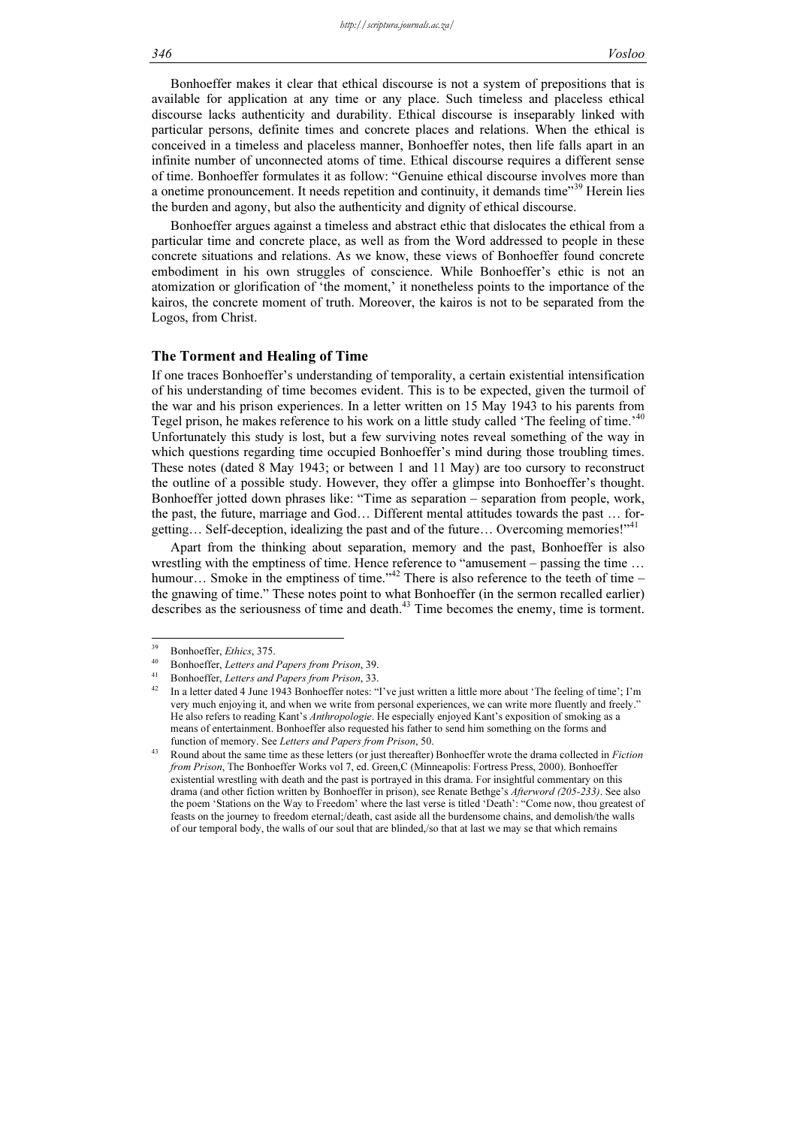Bonhoeffer makes it clear that ethical discourse is not a system of prepositions that is available for application at any time or any place. Such timeless and placeless ethical discourse lacks authenticity and durability. Ethical discourse is inseparably linked with particular persons, definite times and concrete places and relations. When the ethical is conceived in a timeless and placeless manner, Bonhoeffer notes, then life falls apart in an infinite number of unconnected atoms of time. Ethical discourse requires a different sense of time. Bonhoeffer formulates it as follow: "Genuine ethical discourse involves more than a onetime pronouncement. It needs repetition and continuity, it demands time"<sup>39</sup> Herein lies the burden and agony, but also the authenticity and dignity of ethical discourse.

Bonhoeffer argues against a timeless and abstract ethic that dislocates the ethical from a particular time and concrete place, as well as from the Word addressed to people in these concrete situations and relations. As we know, these views of Bonhoeffer found concrete embodiment in his own struggles of conscience. While Bonhoeffer's ethic is not an atomization or glorification of 'the moment,' it nonetheless points to the importance of the kairos, the concrete moment of truth. Moreover, the kairos is not to be separated from the Logos, from Christ.

#### The Torment and Healing of Time

If one traces Bonhoeffer's understanding of temporality, a certain existential intensification of his understanding of time becomes evident. This is to be expected, given the turmoil of the war and his prison experiences. In a letter written on 15 May 1943 to his parents from Tegel prison, he makes reference to his work on a little study called 'The feeling of time.'<sup>40</sup> Unfortunately this study is lost, but a few surviving notes reveal something of the way in which questions regarding time occupied Bonhoeffer's mind during those troubling times. These notes (dated 8 May 1943; or between 1 and 11 May) are too cursory to reconstruct the outline of a possible study. However, they offer a glimpse into Bonhoeffer's thought. Bonhoeffer jotted down phrases like: "Time as separation – separation from people, work, the past, the future, marriage and God… Different mental attitudes towards the past … forgetting... Self-deception, idealizing the past and of the future... Overcoming memories!"<sup>41</sup>

Apart from the thinking about separation, memory and the past, Bonhoeffer is also wrestling with the emptiness of time. Hence reference to "amusement – passing the time … humour... Smoke in the emptiness of time."<sup>42</sup> There is also reference to the teeth of time – the gnawing of time." These notes point to what Bonhoeffer (in the sermon recalled earlier) describes as the seriousness of time and death.<sup>43</sup> Time becomes the enemy, time is torment.

 $39$ 

<sup>&</sup>lt;sup>39</sup> Bonhoeffer, *Ethics*, 375.<br><sup>40</sup> Bonhoeffer, *Letters and Papers from Prison*, 39.<br><sup>41</sup> Bonhoeffer, *Letters and Papers from Prison*, 33.<br><sup>42</sup> In a letter dated 4 June 1943 Bonhoeffer notes: "I've just written a littl very much enjoying it, and when we write from personal experiences, we can write more fluently and freely." He also refers to reading Kant's Anthropologie. He especially enjoyed Kant's exposition of smoking as a means of entertainment. Bonhoeffer also requested his father to send him something on the forms and function of memory. See Letters and Papers from Prison, 50.

Round about the same time as these letters (or just thereafter) Bonhoeffer wrote the drama collected in Fiction from Prison, The Bonhoeffer Works vol 7, ed. Green,C (Minneapolis: Fortress Press, 2000). Bonhoeffer existential wrestling with death and the past is portrayed in this drama. For insightful commentary on this drama (and other fiction written by Bonhoeffer in prison), see Renate Bethge's Afterword (205-233). See also the poem 'Stations on the Way to Freedom' where the last verse is titled 'Death': "Come now, thou greatest of feasts on the journey to freedom eternal;/death, cast aside all the burdensome chains, and demolish/the walls of our temporal body, the walls of our soul that are blinded,/so that at last we may se that which remains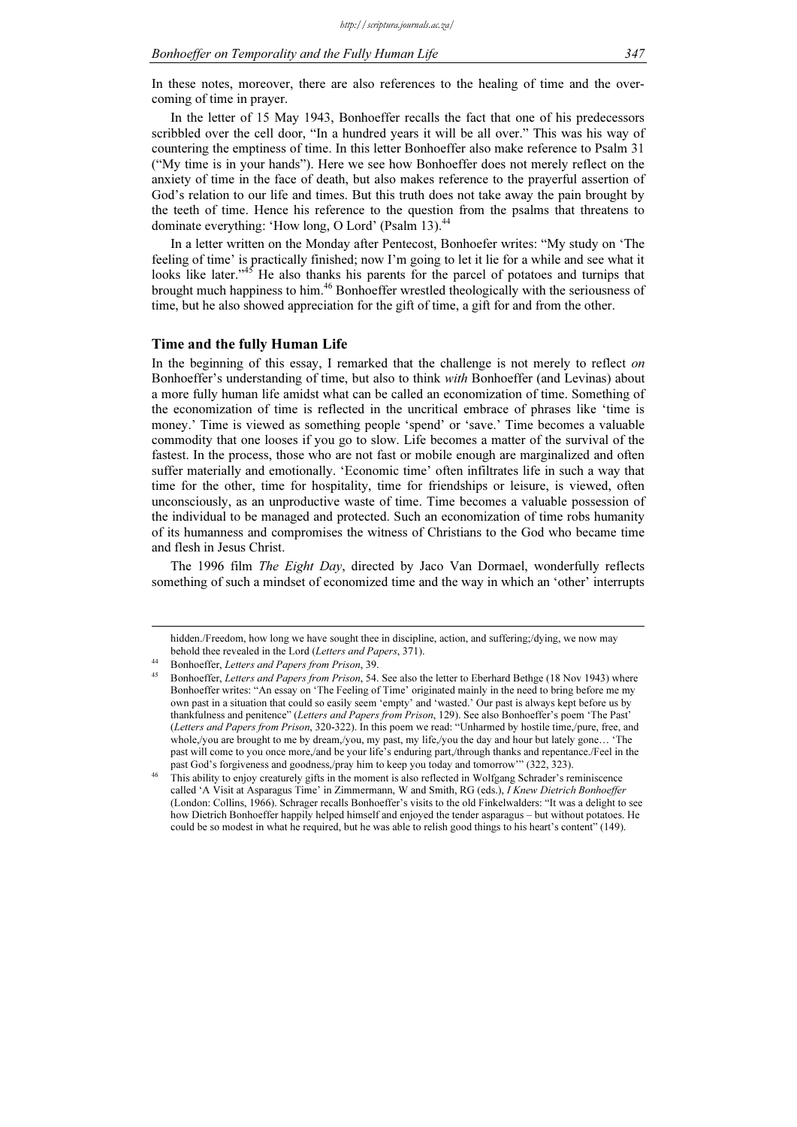In these notes, moreover, there are also references to the healing of time and the overcoming of time in prayer.

In the letter of 15 May 1943, Bonhoeffer recalls the fact that one of his predecessors scribbled over the cell door, "In a hundred years it will be all over." This was his way of countering the emptiness of time. In this letter Bonhoeffer also make reference to Psalm 31 ("My time is in your hands"). Here we see how Bonhoeffer does not merely reflect on the anxiety of time in the face of death, but also makes reference to the prayerful assertion of God's relation to our life and times. But this truth does not take away the pain brought by the teeth of time. Hence his reference to the question from the psalms that threatens to dominate everything: 'How long, O Lord' (Psalm 13).<sup>4</sup>

In a letter written on the Monday after Pentecost, Bonhoefer writes: "My study on 'The feeling of time' is practically finished; now I'm going to let it lie for a while and see what it looks like later."<sup>45</sup> He also thanks his parents for the parcel of potatoes and turnips that brought much happiness to him.<sup>46</sup> Bonhoeffer wrestled theologically with the seriousness of time, but he also showed appreciation for the gift of time, a gift for and from the other.

#### Time and the fully Human Life

In the beginning of this essay, I remarked that the challenge is not merely to reflect on Bonhoeffer's understanding of time, but also to think with Bonhoeffer (and Levinas) about a more fully human life amidst what can be called an economization of time. Something of the economization of time is reflected in the uncritical embrace of phrases like 'time is money.' Time is viewed as something people 'spend' or 'save.' Time becomes a valuable commodity that one looses if you go to slow. Life becomes a matter of the survival of the fastest. In the process, those who are not fast or mobile enough are marginalized and often suffer materially and emotionally. 'Economic time' often infiltrates life in such a way that time for the other, time for hospitality, time for friendships or leisure, is viewed, often unconsciously, as an unproductive waste of time. Time becomes a valuable possession of the individual to be managed and protected. Such an economization of time robs humanity of its humanness and compromises the witness of Christians to the God who became time and flesh in Jesus Christ.

The 1996 film The Eight Day, directed by Jaco Van Dormael, wonderfully reflects something of such a mindset of economized time and the way in which an 'other' interrupts

hidden./Freedom, how long we have sought thee in discipline, action, and suffering;/dying, we now may behold thee revealed in the Lord (Letters and Papers, 371). Bonhoeffer, Letters and Papers from Prison, 39.

Bonhoeffer, Letters and Papers from Prison, 54. See also the letter to Eberhard Bethge (18 Nov 1943) where Bonhoeffer writes: "An essay on 'The Feeling of Time' originated mainly in the need to bring before me my own past in a situation that could so easily seem 'empty' and 'wasted.' Our past is always kept before us by thankfulness and penitence" (Letters and Papers from Prison, 129). See also Bonhoeffer's poem 'The Past' (Letters and Papers from Prison, 320-322). In this poem we read: "Unharmed by hostile time,/pure, free, and whole,/you are brought to me by dream,/you, my past, my life,/you the day and hour but lately gone… 'The past will come to you once more,/and be your life's enduring part,/through thanks and repentance./Feel in the past God's forgiveness and goodness,/pray him to keep you today and tomorrow'" (322, 323).

<sup>46</sup> This ability to enjoy creaturely gifts in the moment is also reflected in Wolfgang Schrader's reminiscence called 'A Visit at Asparagus Time' in Zimmermann, W and Smith, RG (eds.), I Knew Dietrich Bonhoeffer (London: Collins, 1966). Schrager recalls Bonhoeffer's visits to the old Finkelwalders: "It was a delight to see how Dietrich Bonhoeffer happily helped himself and enjoyed the tender asparagus – but without potatoes. He could be so modest in what he required, but he was able to relish good things to his heart's content" (149).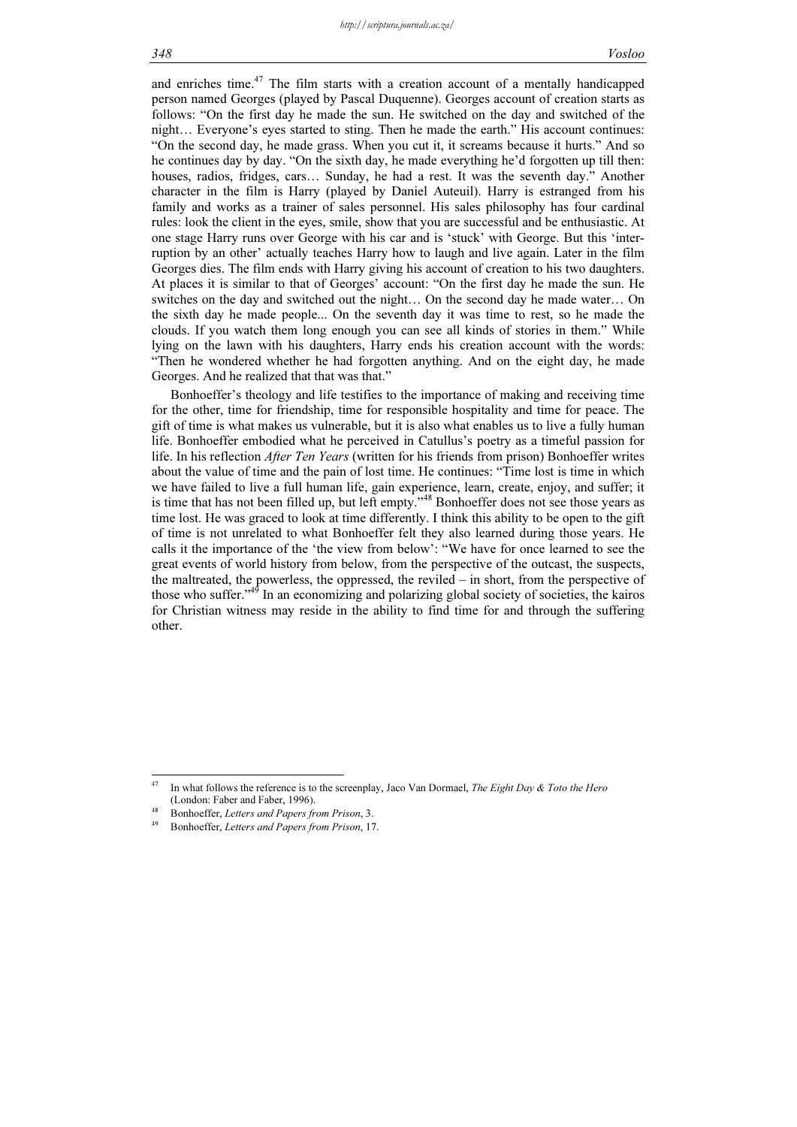and enriches time. $47$  The film starts with a creation account of a mentally handicapped person named Georges (played by Pascal Duquenne). Georges account of creation starts as follows: "On the first day he made the sun. He switched on the day and switched of the night… Everyone's eyes started to sting. Then he made the earth." His account continues: "On the second day, he made grass. When you cut it, it screams because it hurts." And so he continues day by day. "On the sixth day, he made everything he'd forgotten up till then: houses, radios, fridges, cars… Sunday, he had a rest. It was the seventh day." Another character in the film is Harry (played by Daniel Auteuil). Harry is estranged from his family and works as a trainer of sales personnel. His sales philosophy has four cardinal rules: look the client in the eyes, smile, show that you are successful and be enthusiastic. At one stage Harry runs over George with his car and is 'stuck' with George. But this 'interruption by an other' actually teaches Harry how to laugh and live again. Later in the film Georges dies. The film ends with Harry giving his account of creation to his two daughters. At places it is similar to that of Georges' account: "On the first day he made the sun. He switches on the day and switched out the night… On the second day he made water… On the sixth day he made people... On the seventh day it was time to rest, so he made the clouds. If you watch them long enough you can see all kinds of stories in them." While lying on the lawn with his daughters, Harry ends his creation account with the words: "Then he wondered whether he had forgotten anything. And on the eight day, he made Georges. And he realized that that was that."

Bonhoeffer's theology and life testifies to the importance of making and receiving time for the other, time for friendship, time for responsible hospitality and time for peace. The gift of time is what makes us vulnerable, but it is also what enables us to live a fully human life. Bonhoeffer embodied what he perceived in Catullus's poetry as a timeful passion for life. In his reflection *After Ten Years* (written for his friends from prison) Bonhoeffer writes about the value of time and the pain of lost time. He continues: "Time lost is time in which we have failed to live a full human life, gain experience, learn, create, enjoy, and suffer; it is time that has not been filled up, but left empty."<sup>48</sup> Bonhoeffer does not see those years as time lost. He was graced to look at time differently. I think this ability to be open to the gift of time is not unrelated to what Bonhoeffer felt they also learned during those years. He calls it the importance of the 'the view from below': "We have for once learned to see the great events of world history from below, from the perspective of the outcast, the suspects, the maltreated, the powerless, the oppressed, the reviled – in short, from the perspective of those who suffer."<sup>49</sup> In an economizing and polarizing global society of societies, the kairos for Christian witness may reside in the ability to find time for and through the suffering other.

<sup>47</sup> In what follows the reference is to the screenplay, Jaco Van Dormael, The Eight Day & Toto the Hero (London: Faber and Faber, 1996).<br>
Bonhoeffer, Letters and Papers from Prison, 3.<br>
Bonhoeffer, Letters and Papers from Prison, 17.